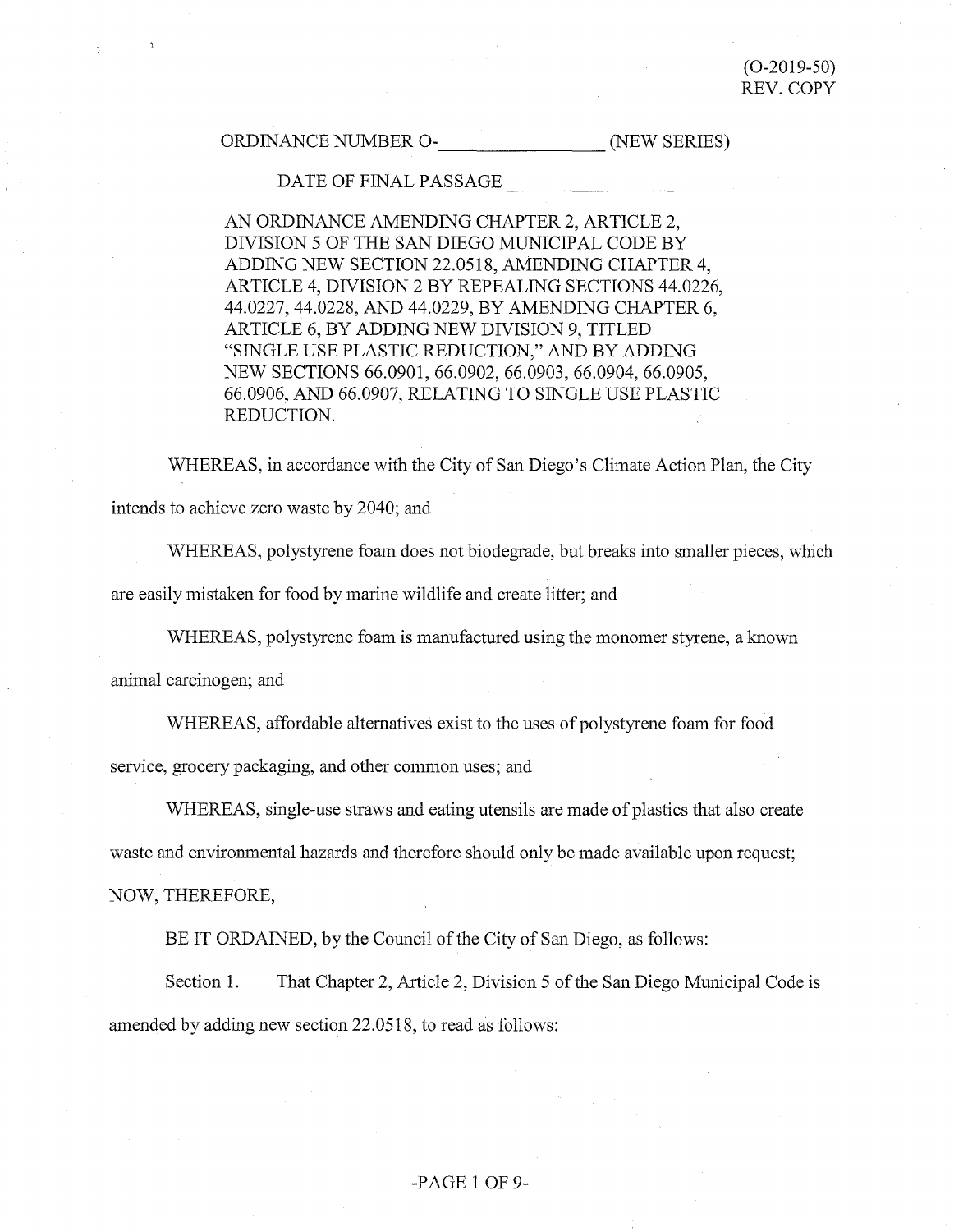# ORDINANCE NUMBER 0- \_\_\_\_\_\_\_ (NEW SERIES)

### DATE OF FINAL PASSAGE

AN ORDINANCE AMENDING CHAPTER 2, ARTICLE 2, DIVISION 5 OF THE SAN DIEGO MUNICIPAL CODE BY ADDING NEW SECTION 22.0518, AMENDING CHAPTER 4, ARTICLE 4, DIVISION 2 BY REPEALING SECTIONS 44.0226, 44.0227, 44.0228, AND 44.0229, BY AMENDING CHAPTER 6, ARTICLE 6, BY ADDING NEW DIVISION 9, TITLED "SINGLE USE PLASTIC REDUCTION," AND BY ADDING NEW SECTIONS 66.0901, 66.0902, 66.0903, 66.0904, 66.0905, 66.0906, AND 66.0907, RELATING TO SINGLE USE PLASTIC REDUCTION.

WHEREAS, in accordance with the City of San Diego's Climate Action Plan, the City intends to achieve zero waste by 2040; and

WHEREAS, polystyrene foam does not biodegrade, but breaks into smaller pieces, which are easily mistaken for food by marine wildlife and create litter; and

WHEREAS, polystyrene foam is manufactured using the monomer styrene, a known

animal carcinogen; and

WHEREAS, affordable alternatives exist to the uses of polystyrene foam for food

service, grocery packaging, and other common uses; and

WHEREAS, single-use straws and eating utensils are made of plastics that also create

waste and enviromnental hazards and therefore should only be made available upon request;

NOW, THEREFORE,

BE IT ORDAINED, by the Council of the City of San Diego, as follows:

Section 1. That Chapter 2, Article 2, Division 5 of the San Diego Municipal Code is amended by adding new section 22.0518, to read as follows:

### -PAGE 1 OF 9-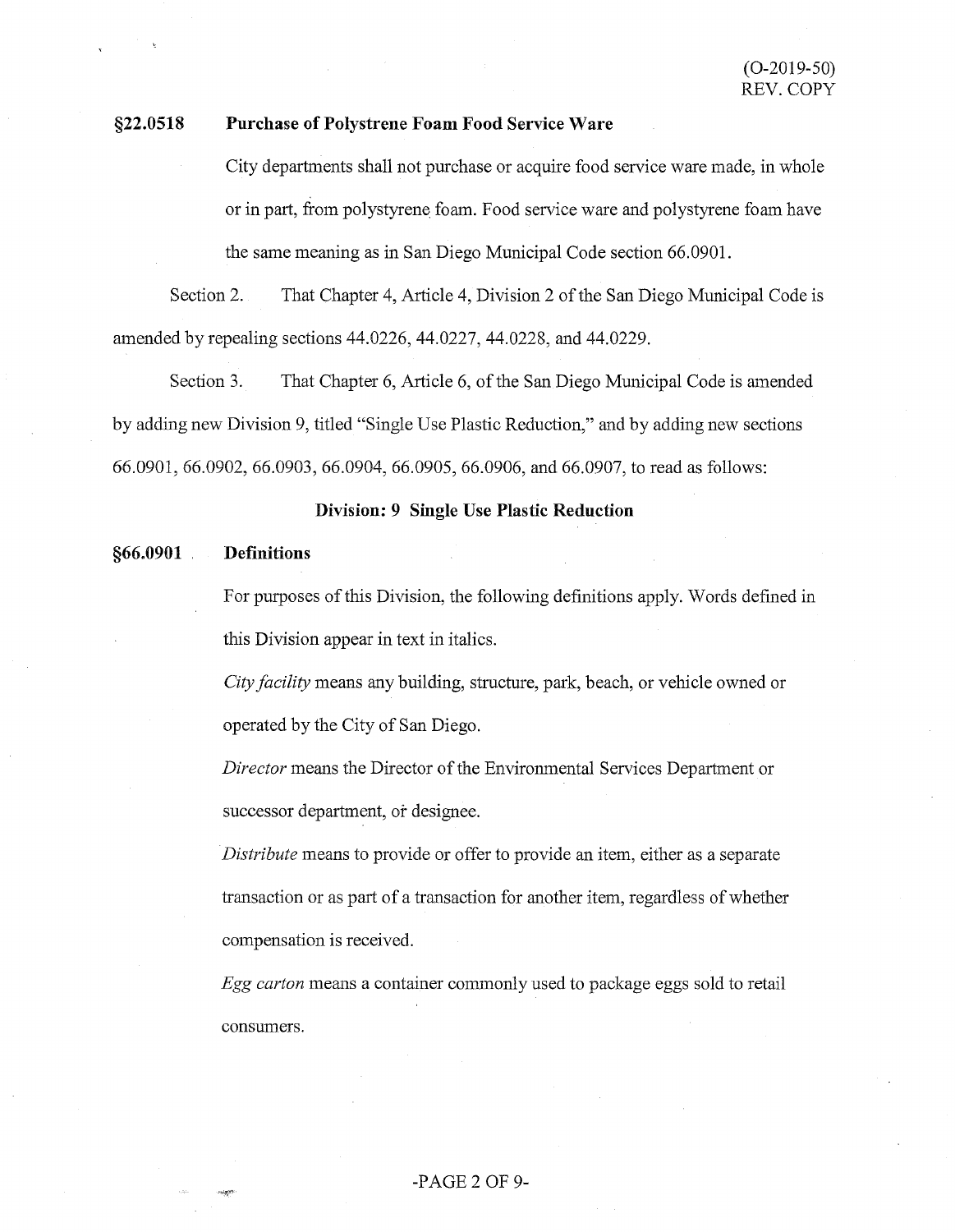# **§22.0518 Purchase of Polystrene Foam Food Service Ware**

City departments shall not purchase or acquire food service ware made, in whole or in part, from polystyrene foam. Food service ware and polystyrene foam have the same meaning as in San Diego Municipal Code section 66.0901.

Section 2. That Chapter 4, Article 4, Division 2 of the San Diego Municipal Code is amended by repealing sections 44.0226, 44.0227, 44.0228, and 44.0229.

Section 3. That Chapter 6, Article 6, of the San Diego Municipal Code is amended by adding new Division 9, titled "Single Use Plastic Reduction," and by adding new sections 66.0901, 66.0902, 66.0903, 66.0904, 66.0905, 66.0906, and 66.0907, to read as follows:

### **Division: 9 Single Use Plastic Reduction**

#### **§66.0901** . **Definitions**

For purposes of this Division, the following definitions apply. Words defined in this Division appear in text in italics.

*City facility* means any building, structure, park, beach, or vehicle owned or operated by the City of San Diego.

*Director* means the Director of the Enviromnental Services Department or successor department, or designee.

*Distribute* means to provide or offer to provide an item, either as a separate transaction or as part of a transaction for another item, regardless of whether compensation is received.

*Egg carton* means a container commonly used to package eggs sold to retail consumers.

# -PAGE 2 OF 9-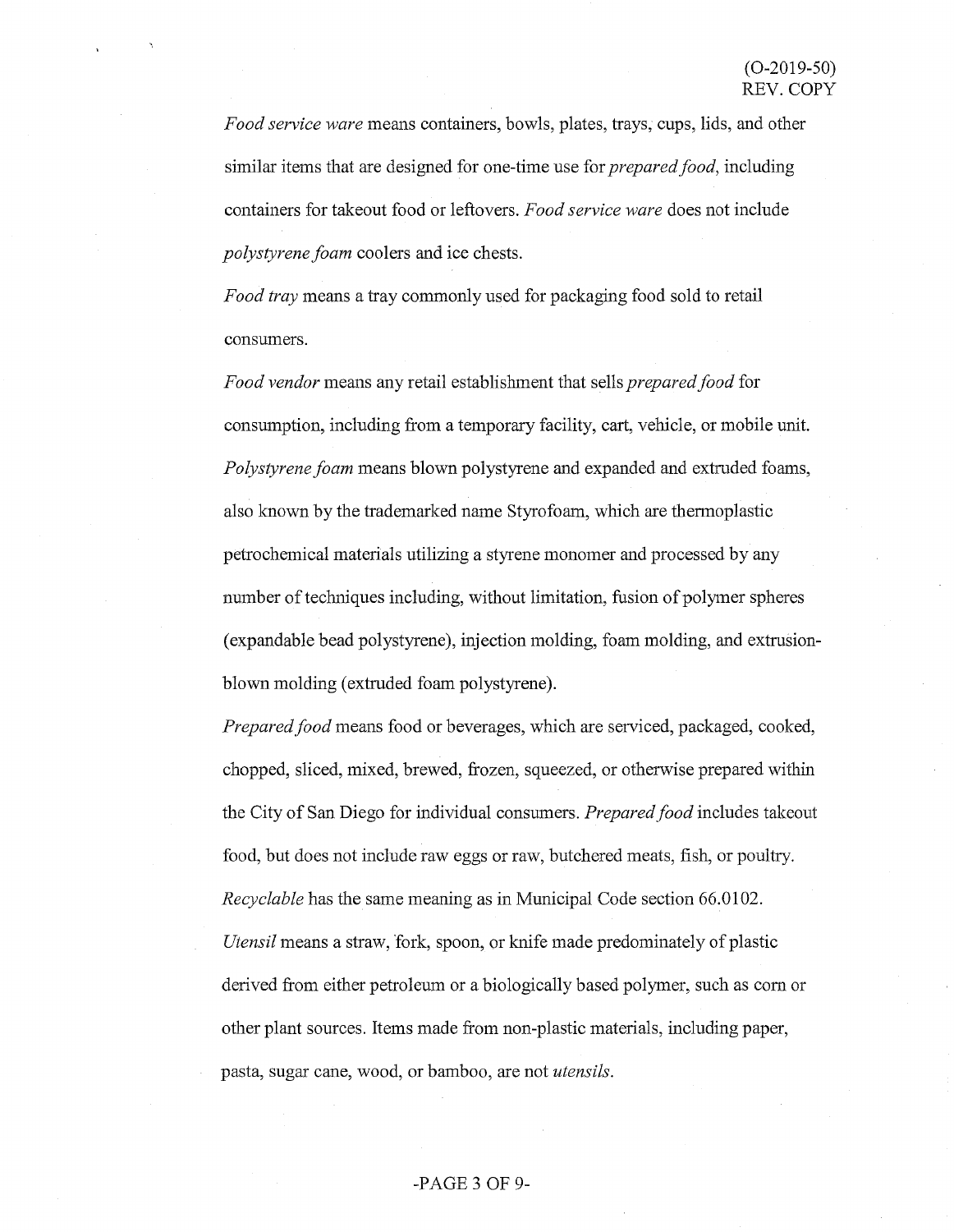*Food service ware* means containers, bowls, plates, trays, cups, lids, and other similar items that are designed for one-time use for *prepared food,* including containers for takeout food or leftovers. *Food service ware* does not include *polystyrene foam* coolers and ice chests.

*Food tray* means a tray commonly used for packaging food sold to retail consumers.

*Food vendor* means any retail establishment that sells *prepared food* for consumption, including from a temporary facility, cart, vehicle, or mobile unit. *Polystyrene foam* means blown polystyrene and expanded and extruded foams, also known by the trademarked name Styrofoam, which are thennoplastic petrochemical materials utilizing a styrene monomer and processed by any number of techniques including, without limitation, fusion of polymer spheres (expandable bead polystyrene), injection molding, foam molding, and extrusionblown molding (extruded foam polystyrene).

*Prepared food* means food or beverages, which are serviced, packaged, cooked, chopped, sliced, mixed, brewed, frozen, squeezed, or otherwise prepared within the City of San Diego for individual consumers. *Prepared food* includes takeout food, but does not include raw eggs or raw, butchered meats, fish, or poultry. *Recyclable* has the same meaning as in Municipal Code section 66.0102. *Utensil* means a straw, fork, spoon, or knife made predominately of plastic derived from either petroleum or a biologically based polymer, such as com or other plant sources. Items made from non-plastic materials, including paper, pasta, sugar cane, wood, or bamboo, are not *utensils.* 

### -PAGE 3 OF 9-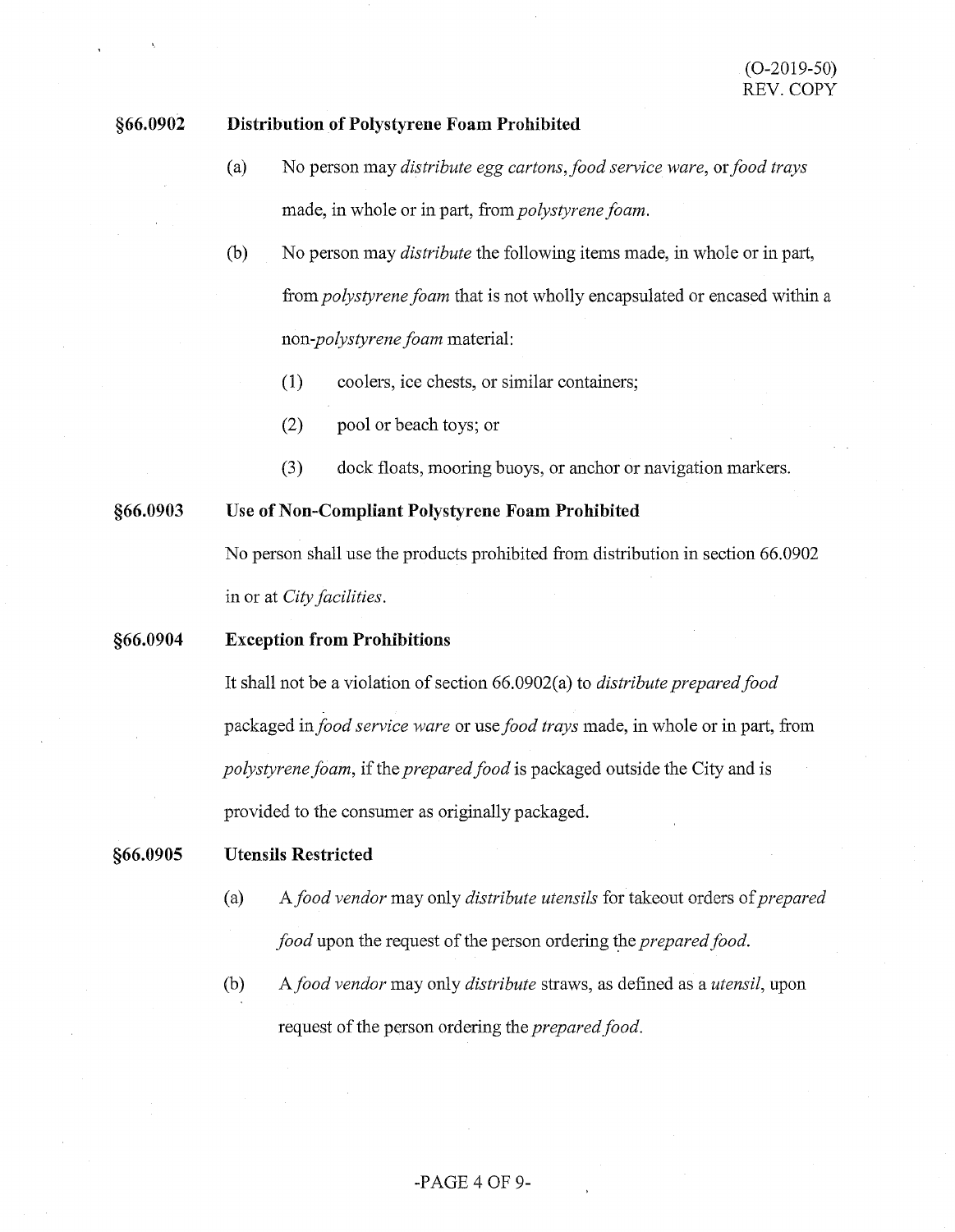#### **§66.0902 Distribution of Polystyrene Foam Prohibited**

- (a) No person may *distribute egg cartons,food service ware,* or *food trays*  made, in whole or in part, from *polystyrene foam.*
- (b) No person may *distribute* the following items made, in whole or in part, from *polystyrene foam* that is not wholly encapsulated or encased within a *non-polystyrene foam* material:
	- (1) coolers, ice chests, or similar containers;
	- (2) pool or beach toys; or
	- (3) dock floats, mooring buoys, or anchor or navigation markers.

**§66.0903 Use of Non-Compliant Polystyrene Foam Prohibited** 

> No person shall use the products prohibited from distribution in section 66.0902 in or at *City facilities.*

#### **§66.0904 Exception from Prohibitions**

It shall not be a violation of section 66.0902( a) to *distribute prepared food*  packaged *infood service ware* or use *food trays* made, in whole or in part, from *polystyrene foam,* if the *prepared food* is packaged outside the City and is provided to the consumer as originally packaged.

#### **§66.0905 Utensils Restricted**

- (a) A *food vendor* may only *distribute utensils* for takeout orders of *prepared food* upon the request of the person ordering the *prepared food*.
- (b) *Afood vendor* may only *distribute* straws, as defined as a *utensil,* upon request of the person ordering the *prepared food.*

# -PAGE 4 OF 9-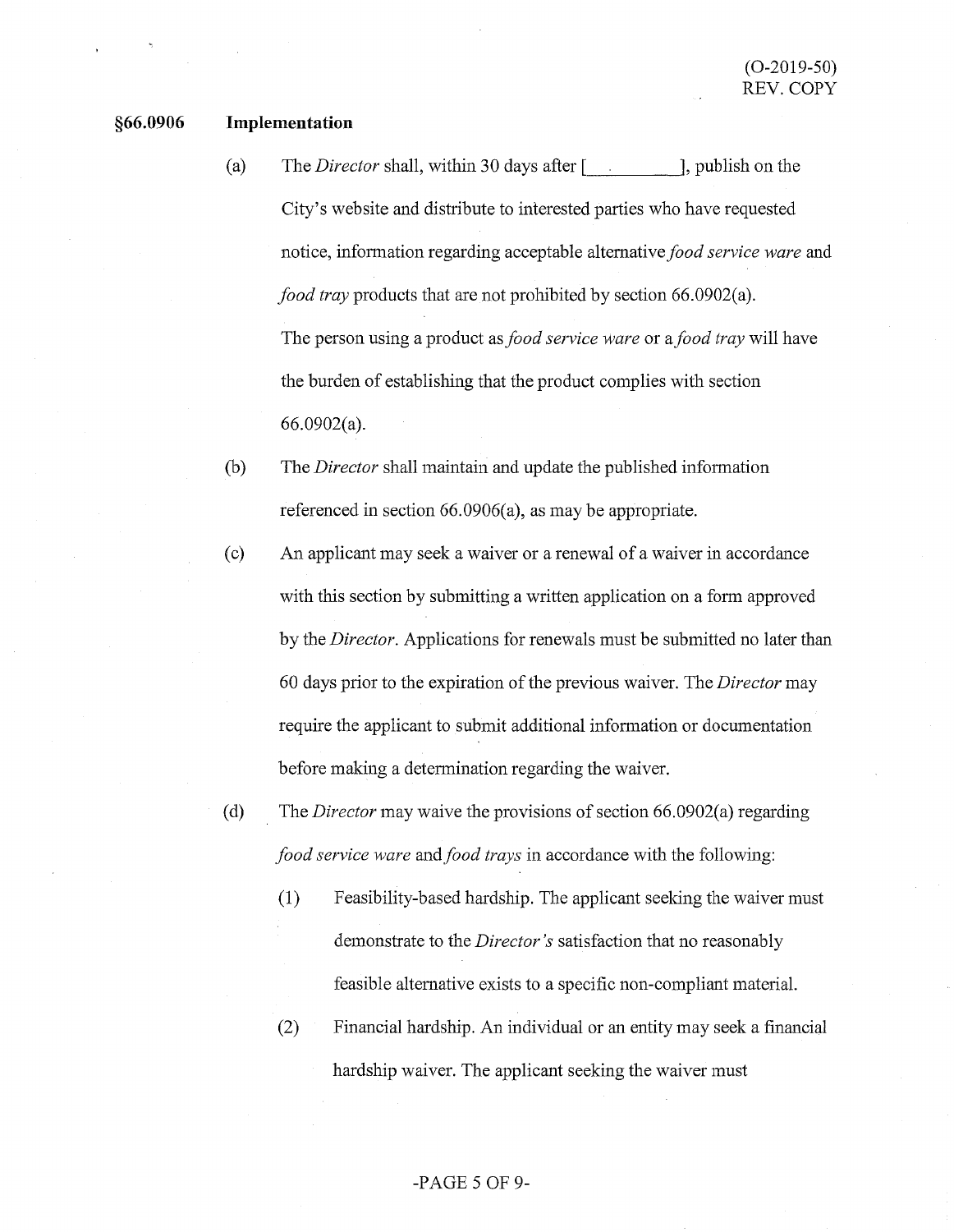#### **§66.0906 Implementation**

- (a) The *Director* shall, within 30 days after [  $\qquad$  ], publish on the City's website and distribute to interested parties who have requested notice, information regarding acceptable alternative *food service ware* and *food tray* products that are not prohibited by section 66.0902(a). The person using a product as *food service ware* or a *food tray* will have the burden of establishing that the product complies with section 66.0902(a).
- (b) The *Director* shall maintain and update the published information referenced in section 66.0906(a), as may be appropriate.
- ( c) An applicant may seek a waiver or a renewal of a waiver in accordance with this section by submitting a written application on a form approved by the *Director.* Applications for renewals must be submitted no later than 60 days prior to the expiration of the previous waiver. The *Director* may require the applicant to submit additional information or documentation before making a determination regarding the waiver.
- ( d) The *Director* may waive the provisions of section 66.0902(a) regarding *food service ware* and *food trays* in accordance with the following:
	- (1) Feasibility-based hardship. The applicant seeking the waiver must demonstrate to the *Director's* satisfaction that no reasonably feasible alternative exists to a specific non-compliant material.
	- (2) Financial hardship. An individual or an entity may seek a financial hardship waiver. The applicant seeking the waiver must

### -PAGE 5 OF 9-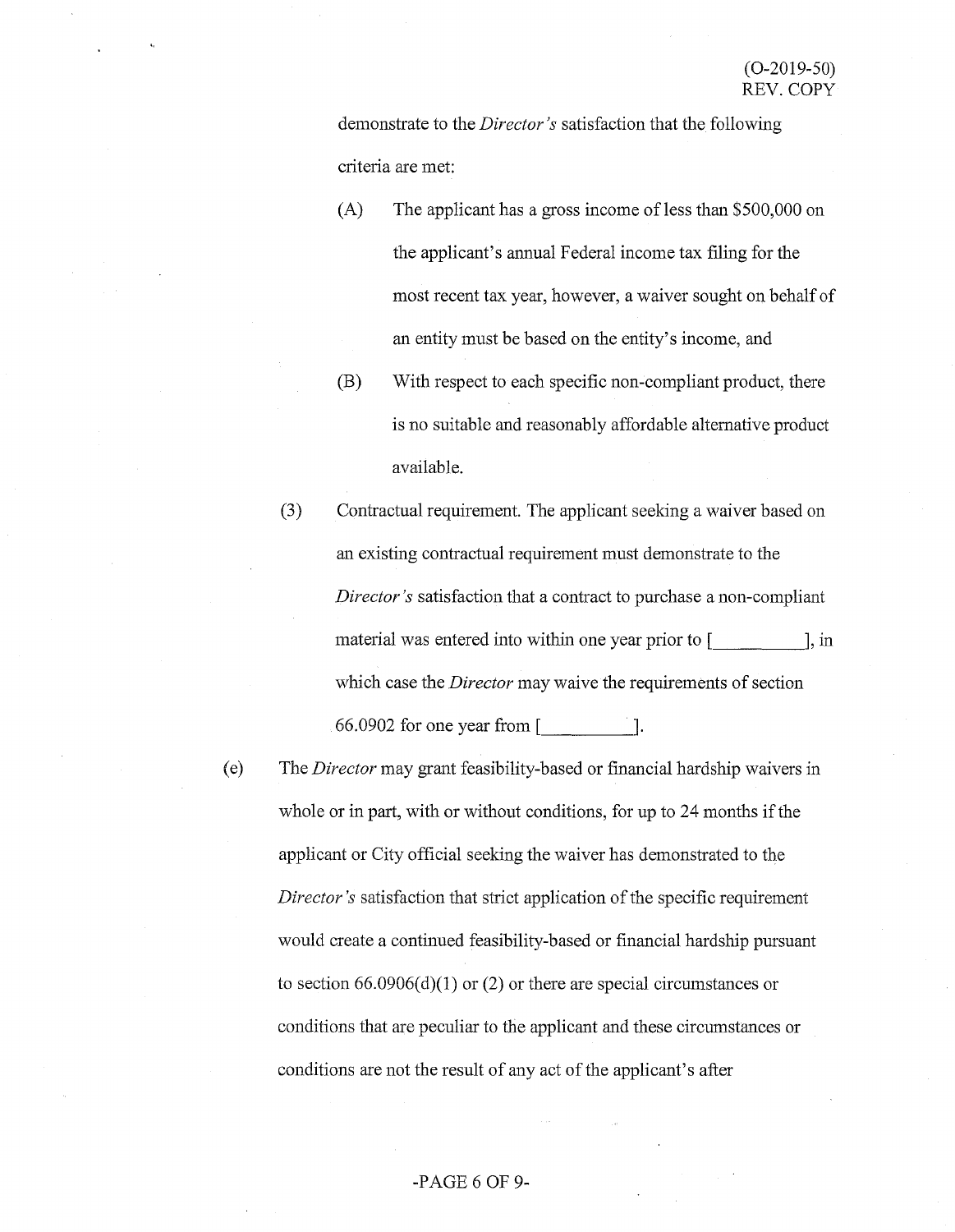demonstrate to the *Director's* satisfaction that the following criteria are met:

- $(A)$  The applicant has a gross income of less than \$500,000 on the applicant's annual Federal income tax filing for the most recent tax year, however, a waiver sought on behalf of an entity must be based on the entity's income, and
- (B) With respect to each specific non-compliant product, there is no suitable and reasonably affordable alternative product available.
- (3) Contractual requirement. The applicant seeking a waiver based on an existing contractual requirement must demonstrate to the *Director's* satisfaction that a contract to purchase a non-compliant material was entered into within one year prior to  $\int$ , in which case the *Director* may waive the requirements of section  $66.0902$  for one year from  $\lceil$   $\lceil$ .
- ( e) The *Director* may grant feasibility-based or financial hardship waivers in whole or in part, with or without conditions, for up to 24 months if the applicant or City official seeking the waiver has demonstrated to the *Director's* satisfaction that strict application of the specific requirement would create a continued feasibility-based or financial hardship pursuant to section  $66.0906(d)(1)$  or (2) or there are special circumstances or conditions that are peculiar to the applicant and these circumstances or conditions are not the result of any act of the applicant's after

# -PAGE 6 OF 9-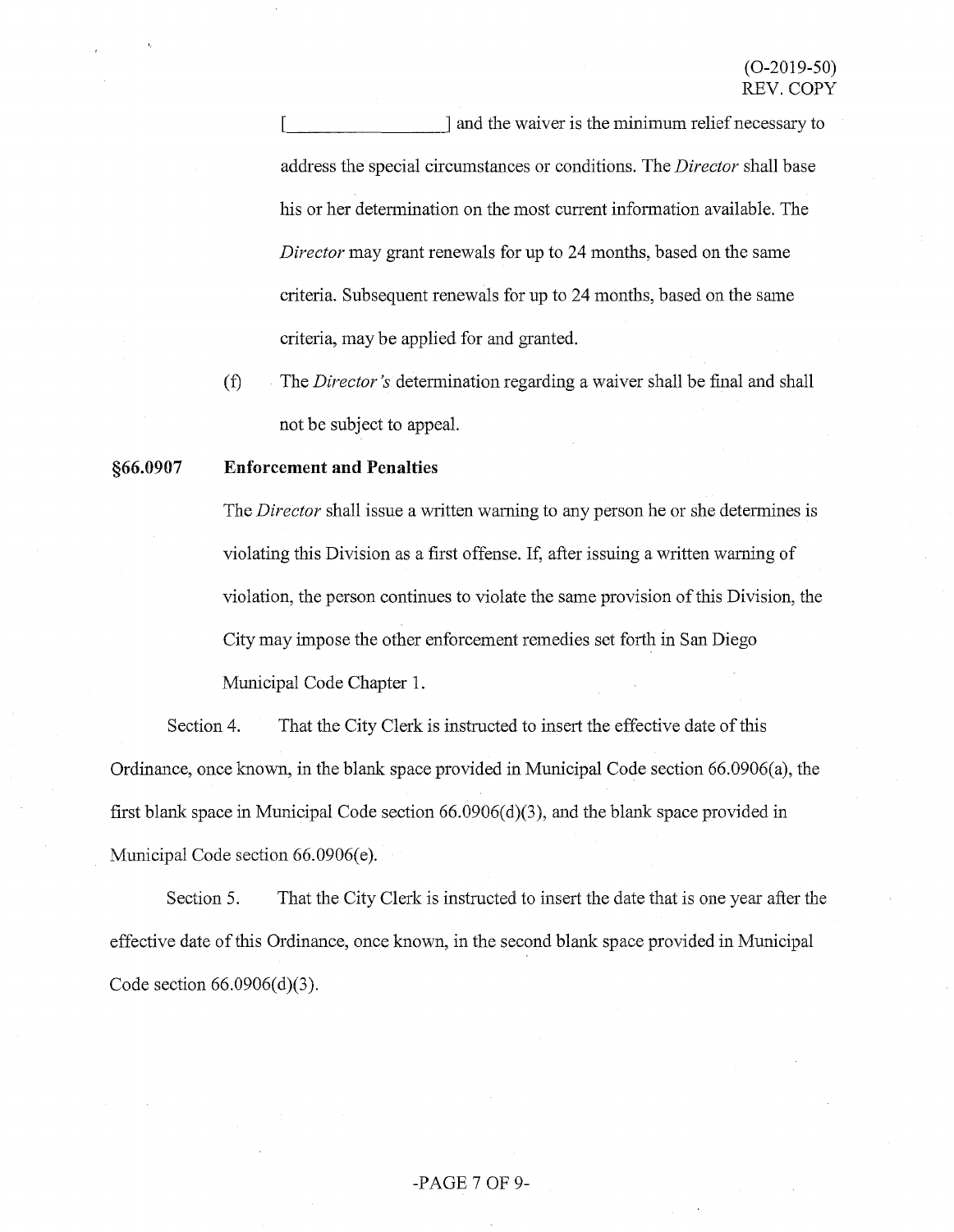~------~ and the waiver is the minimum relief necessary to address the special circumstances or conditions. The *Director* shall base his or her detennination on the most current infonnation available. The *Director* may grant renewals for up to 24 months, based on the same criteria. Subsequent renewals for up to 24 months, based on the same criteria, may be applied for and granted.

(f) The *Director's* detennination regarding a waiver shall be final and shall not be subject to appeal.

#### **§66.0907 Enforcement and Penalties**

The *Director* shall issue a written warning to any person he or she determines is violating this Division as a first offense. If, after issuing a written warning of violation, the person continues to violate the same provision of this Division, the City may impose the other enforcement remedies set forth in San Diego Municipal Code Chapter 1.

Section 4. That the City Clerk is instructed to insert the effective date of this Ordinance, once known, in the blank space provided in Municipal Code section 66.0906(a), the first blank space in Municipal Code section 66.0906(d)(3), and the blank space provided in Municipal Code section 66.0906(e).

Section 5. That the City Clerk is instructed to insert the date that is one year after the effective date of this Ordinance, once known, in the second blank space provided in Municipal Code section 66.0906(d)(3).

# -PAGE 7 OF 9-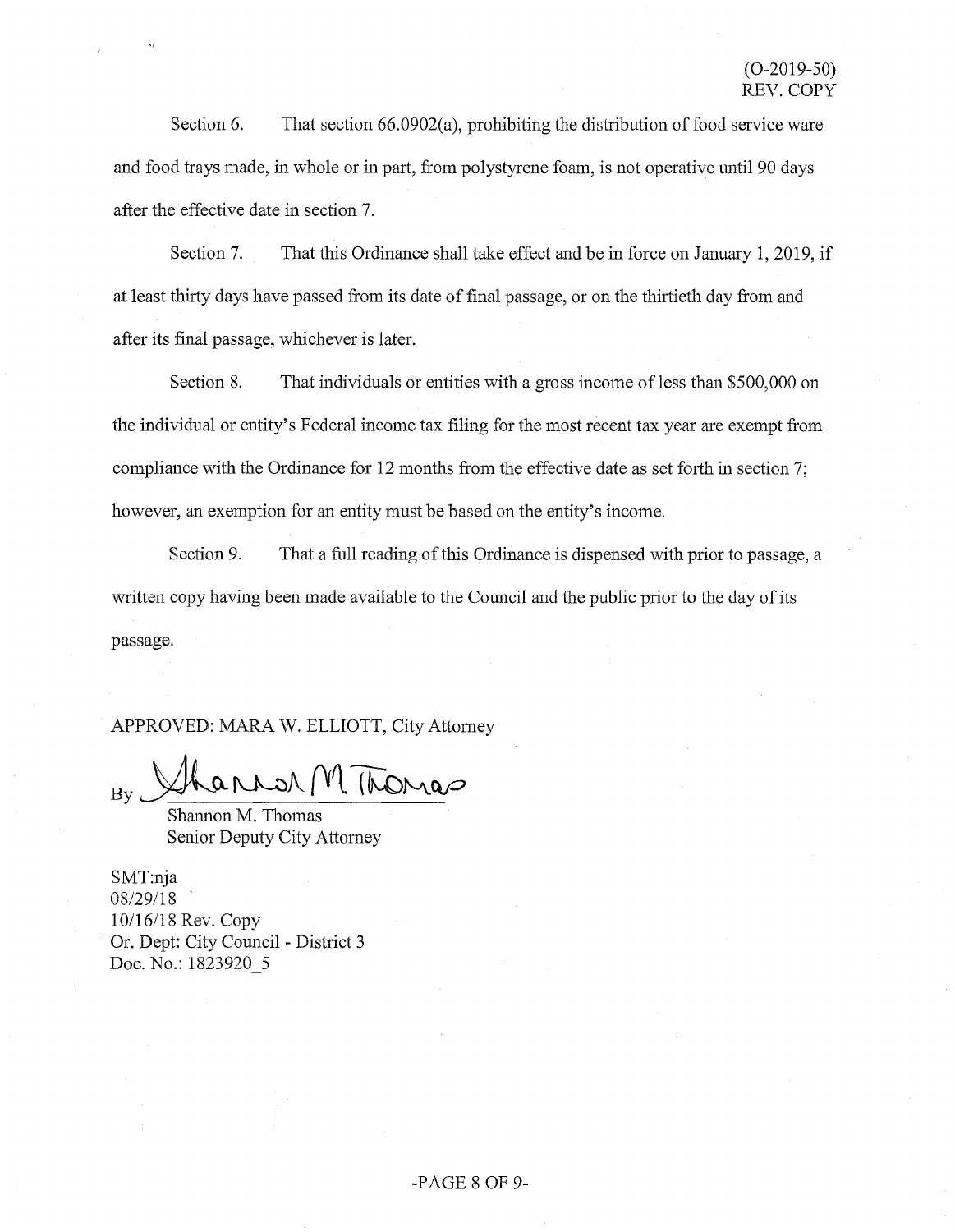Section 6. That section 66.0902(a), prohibiting the distribution of food service ware and food trays made, in whole or in part, from polystyrene foam, is not operative until 90 days after the effective date in section 7.

Section 7. That this Ordinance shall take effect and be in force on January 1, 2019, if at least thirty days have passed from its date of final passage, or on the thirtieth day from and after its final passage, whichever is later.

Section 8. That individuals or entities with a gross income of less than \$500,000 on the individual or entity's Federal income tax filing for the most recent tax year are exempt from compliance with the Ordinance for 12 months from the effective date as set forth in section 7; however, an exemption for an entity must be based on the entity's income.

Section 9. That a full reading of this Ordinance is dispensed with prior to passage, a written copy having been made available to the Council and the public prior to the day of its passage.

APPROVED: MARA W. ELLIOTT, City Attorney

 $R = M/M$  Thomas

Shannon M. Thomas Senior Deputy City Attorney

SMT:nja 08/29/18 10/16/18 Rev. Copy Or. Dept: City Council - District 3 Doc. No.: 1823920 5

### -PAGE 8 OF 9-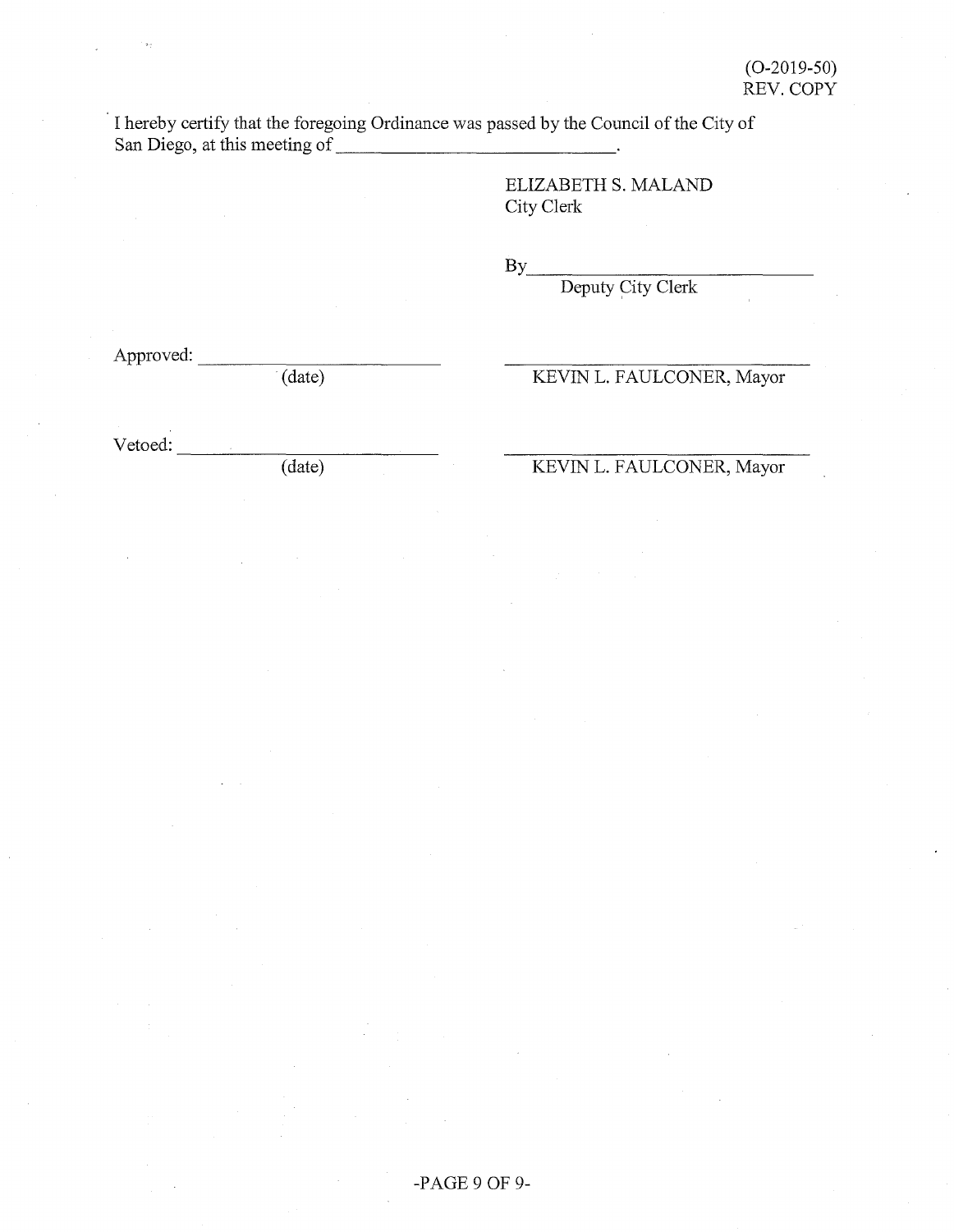I hereby certify that the foregoing Ordinance was passed by the Council of the City of San Diego, at this meeting of \_\_\_\_\_\_\_\_\_\_\_\_ \_

> ELIZABETH S. MALAND City Clerk

 $\mathbf{By}$ 

Deputy City Clerk

Approved:

(date)

KEVIN L. FAULCONER, Mayor

 $Vector:$   $\qquad \qquad (date)$ 

# KEVIN L. FAULCONER, Mayor